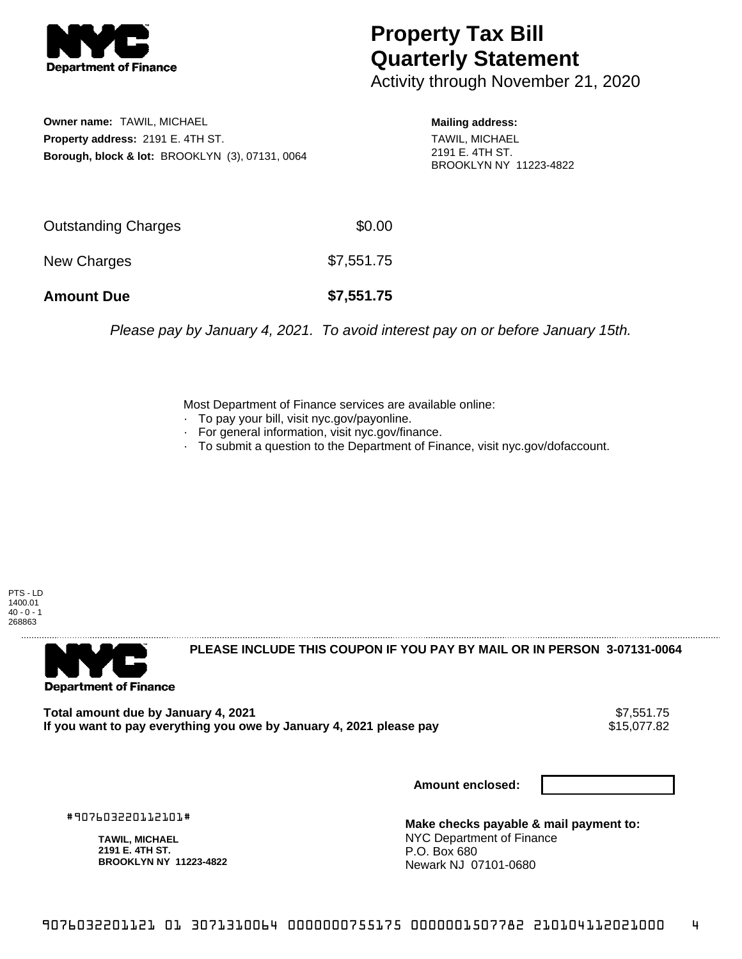

## **Property Tax Bill Quarterly Statement**

Activity through November 21, 2020

**Owner name:** TAWIL, MICHAEL **Property address:** 2191 E. 4TH ST. **Borough, block & lot:** BROOKLYN (3), 07131, 0064 **Mailing address:** TAWIL, MICHAEL 2191 E. 4TH ST. BROOKLYN NY 11223-4822

| <b>Amount Due</b>   | \$7,551.75 |
|---------------------|------------|
| New Charges         | \$7,551.75 |
| Outstanding Charges | \$0.00     |

Please pay by January 4, 2021. To avoid interest pay on or before January 15th.

Most Department of Finance services are available online:

- · To pay your bill, visit nyc.gov/payonline.
- For general information, visit nyc.gov/finance.
- · To submit a question to the Department of Finance, visit nyc.gov/dofaccount.

PTS - LD 1400.01  $40 - 0 - 1$ 268863



**PLEASE INCLUDE THIS COUPON IF YOU PAY BY MAIL OR IN PERSON 3-07131-0064** 

Total amount due by January 4, 2021<br>If you want to pay everything you owe by January 4, 2021 please pay **state of the Santa August 2021** \$15,077.82 If you want to pay everything you owe by January 4, 2021 please pay

**Amount enclosed:**

#907603220112101#

**TAWIL, MICHAEL 2191 E. 4TH ST. BROOKLYN NY 11223-4822**

**Make checks payable & mail payment to:** NYC Department of Finance P.O. Box 680 Newark NJ 07101-0680